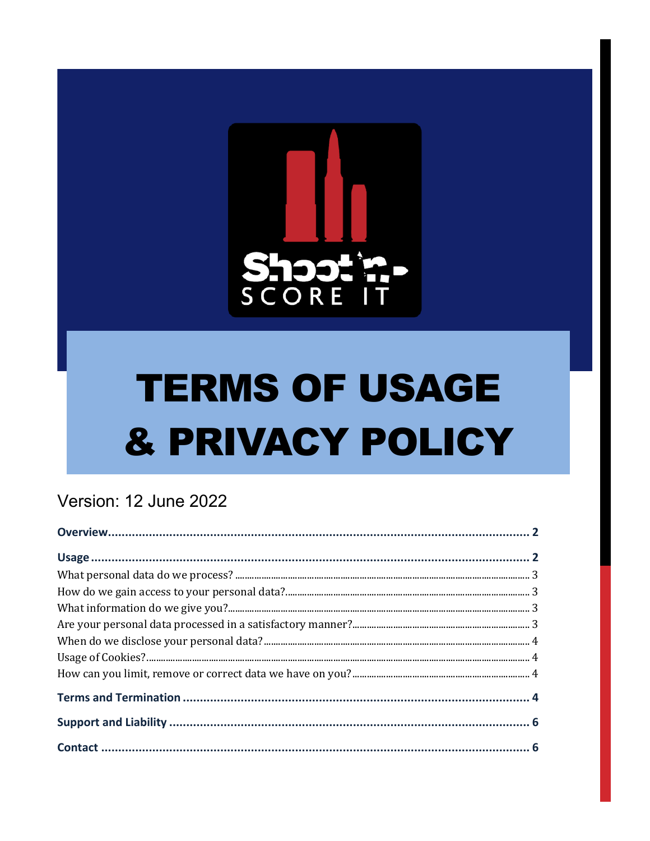

# **TERMS OF USAGE** & PRIVACY POLICY

# Version: 12 June 2022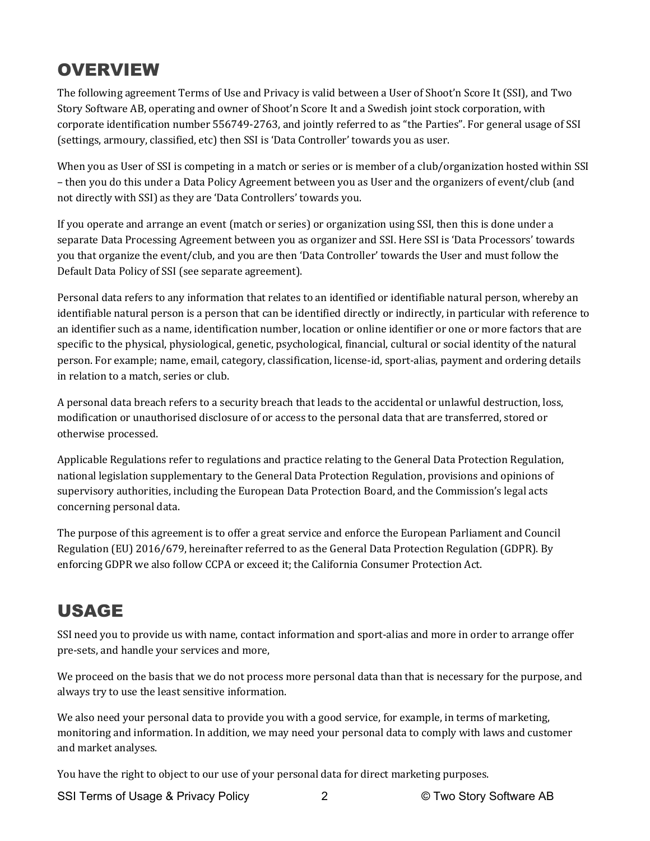## **OVERVIEW**

The following agreement Terms of Use and Privacy is valid between a User of Shoot'n Score It (SSI), and Two Story Software AB, operating and owner of Shoot'n Score It and a Swedish joint stock corporation, with corporate identification number 556749-2763, and jointly referred to as "the Parties". For general usage of SSI (settings, armoury, classified, etc) then SSI is 'Data Controller' towards you as user.

When you as User of SSI is competing in a match or series or is member of a club/organization hosted within SSI – then you do this under a Data Policy Agreement between you as User and the organizers of event/club (and not directly with SSI) as they are 'Data Controllers' towards you.

If you operate and arrange an event (match or series) or organization using SSI, then this is done under a separate Data Processing Agreement between you as organizer and SSI. Here SSI is 'Data Processors' towards you that organize the event/club, and you are then 'Data Controller' towards the User and must follow the Default Data Policy of SSI (see separate agreement).

Personal data refers to any information that relates to an identified or identifiable natural person, whereby an identifiable natural person is a person that can be identified directly or indirectly, in particular with reference to an identifier such as a name, identification number, location or online identifier or one or more factors that are specific to the physical, physiological, genetic, psychological, financial, cultural or social identity of the natural person. For example; name, email, category, classification, license-id, sport-alias, payment and ordering details in relation to a match, series or club.

A personal data breach refers to a security breach that leads to the accidental or unlawful destruction, loss, modification or unauthorised disclosure of or access to the personal data that are transferred, stored or otherwise processed.

Applicable Regulations refer to regulations and practice relating to the General Data Protection Regulation, national legislation supplementary to the General Data Protection Regulation, provisions and opinions of supervisory authorities, including the European Data Protection Board, and the Commission's legal acts concerning personal data.

The purpose of this agreement is to offer a great service and enforce the European Parliament and Council Regulation (EU) 2016/679, hereinafter referred to as the General Data Protection Regulation (GDPR). By enforcing GDPR we also follow CCPA or exceed it; the California Consumer Protection Act.

## USAGE

SSI need you to provide us with name, contact information and sport-alias and more in order to arrange offer pre-sets, and handle your services and more,

We proceed on the basis that we do not process more personal data than that is necessary for the purpose, and always try to use the least sensitive information.

We also need your personal data to provide you with a good service, for example, in terms of marketing, monitoring and information. In addition, we may need your personal data to comply with laws and customer and market analyses.

You have the right to object to our use of your personal data for direct marketing purposes.

SSI Terms of Usage & Privacy Policy 2 2 © Two Story Software AB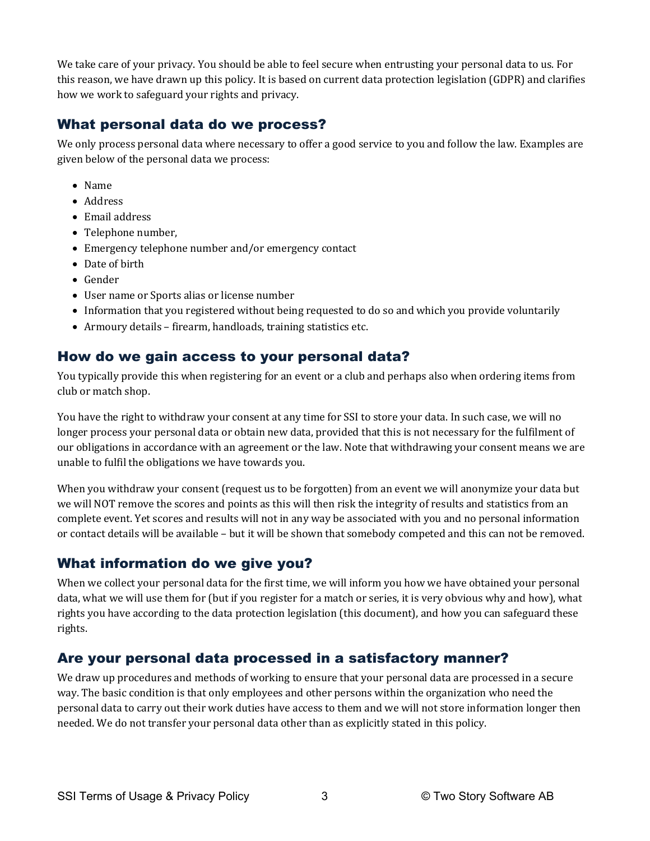We take care of your privacy. You should be able to feel secure when entrusting your personal data to us. For this reason, we have drawn up this policy. It is based on current data protection legislation (GDPR) and clarifies how we work to safeguard your rights and privacy.

#### What personal data do we process?

We only process personal data where necessary to offer a good service to you and follow the law. Examples are given below of the personal data we process:

- Name
- Address
- Email address
- Telephone number,
- Emergency telephone number and/or emergency contact
- Date of birth
- Gender
- User name or Sports alias or license number
- Information that you registered without being requested to do so and which you provide voluntarily
- Armoury details firearm, handloads, training statistics etc.

#### How do we gain access to your personal data?

You typically provide this when registering for an event or a club and perhaps also when ordering items from club or match shop.

You have the right to withdraw your consent at any time for SSI to store your data. In such case, we will no longer process your personal data or obtain new data, provided that this is not necessary for the fulfilment of our obligations in accordance with an agreement or the law. Note that withdrawing your consent means we are unable to fulfil the obligations we have towards you.

When you withdraw your consent (request us to be forgotten) from an event we will anonymize your data but we will NOT remove the scores and points as this will then risk the integrity of results and statistics from an complete event. Yet scores and results will not in any way be associated with you and no personal information or contact details will be available - but it will be shown that somebody competed and this can not be removed.

#### What information do we give you?

When we collect your personal data for the first time, we will inform you how we have obtained your personal data, what we will use them for (but if you register for a match or series, it is very obvious why and how), what rights you have according to the data protection legislation (this document), and how you can safeguard these rights. 

#### Are your personal data processed in a satisfactory manner?

We draw up procedures and methods of working to ensure that your personal data are processed in a secure way. The basic condition is that only employees and other persons within the organization who need the personal data to carry out their work duties have access to them and we will not store information longer then needed. We do not transfer your personal data other than as explicitly stated in this policy.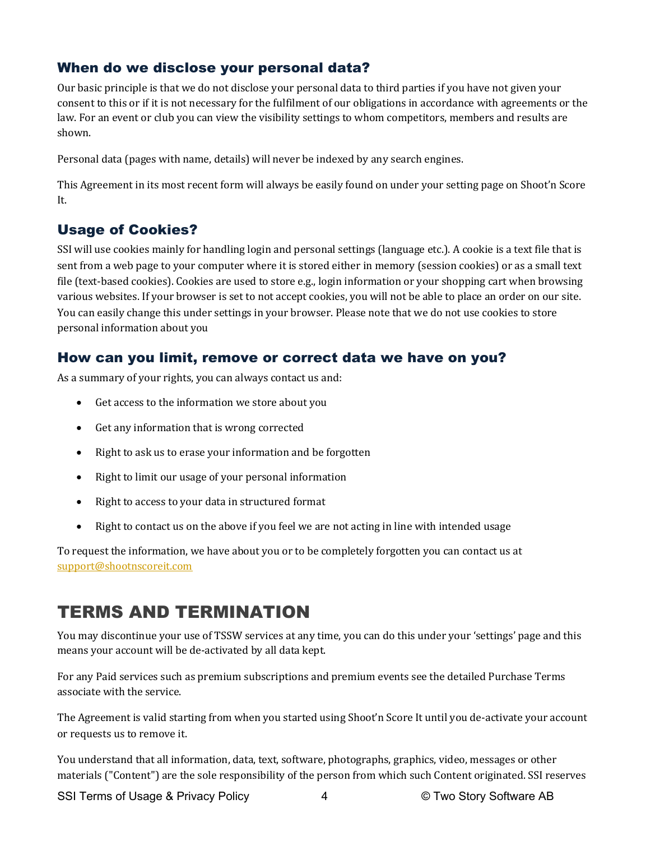#### When do we disclose your personal data?

Our basic principle is that we do not disclose your personal data to third parties if you have not given your consent to this or if it is not necessary for the fulfilment of our obligations in accordance with agreements or the law. For an event or club you can view the visibility settings to whom competitors, members and results are shown. 

Personal data (pages with name, details) will never be indexed by any search engines.

This Agreement in its most recent form will always be easily found on under your setting page on Shoot'n Score It.

#### Usage of Cookies?

SSI will use cookies mainly for handling login and personal settings (language etc.). A cookie is a text file that is sent from a web page to your computer where it is stored either in memory (session cookies) or as a small text file (text-based cookies). Cookies are used to store e.g., login information or your shopping cart when browsing various websites. If your browser is set to not accept cookies, you will not be able to place an order on our site. You can easily change this under settings in your browser. Please note that we do not use cookies to store personal information about you

#### How can you limit, remove or correct data we have on you?

As a summary of your rights, you can always contact us and:

- Get access to the information we store about you
- Get any information that is wrong corrected
- Right to ask us to erase your information and be forgotten
- Right to limit our usage of your personal information
- Right to access to your data in structured format
- Right to contact us on the above if you feel we are not acting in line with intended usage

To request the information, we have about you or to be completely forgotten you can contact us at support@shootnscoreit.com

### TERMS AND TERMINATION

You may discontinue your use of TSSW services at any time, you can do this under your 'settings' page and this means your account will be de-activated by all data kept.

For any Paid services such as premium subscriptions and premium events see the detailed Purchase Terms associate with the service.

The Agreement is valid starting from when you started using Shoot'n Score It until you de-activate your account or requests us to remove it.

You understand that all information, data, text, software, photographs, graphics, video, messages or other materials ("Content") are the sole responsibility of the person from which such Content originated. SSI reserves

SSI Terms of Usage & Privacy Policy  $\begin{array}{ccc} 4 & 4 & \heartsuit & \text{Two Story Software AB}\end{array}$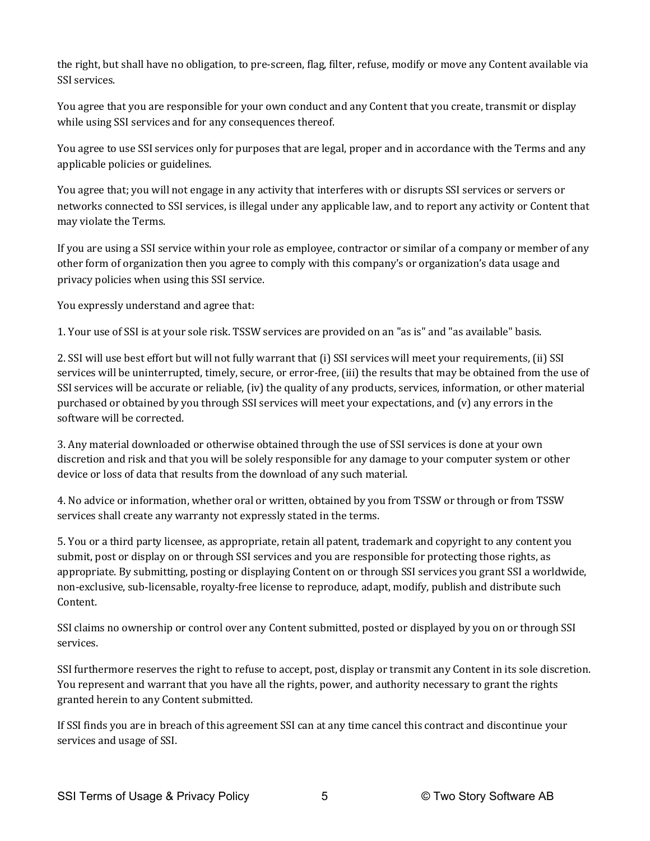the right, but shall have no obligation, to pre-screen, flag, filter, refuse, modify or move any Content available via SSI services. 

You agree that you are responsible for your own conduct and any Content that you create, transmit or display while using SSI services and for any consequences thereof.

You agree to use SSI services only for purposes that are legal, proper and in accordance with the Terms and any applicable policies or guidelines.

You agree that; you will not engage in any activity that interferes with or disrupts SSI services or servers or networks connected to SSI services, is illegal under any applicable law, and to report any activity or Content that may violate the Terms.

If you are using a SSI service within your role as employee, contractor or similar of a company or member of any other form of organization then you agree to comply with this company's or organization's data usage and privacy policies when using this SSI service.

You expressly understand and agree that:

1. Your use of SSI is at your sole risk. TSSW services are provided on an "as is" and "as available" basis.

2. SSI will use best effort but will not fully warrant that (i) SSI services will meet your requirements, (ii) SSI services will be uninterrupted, timely, secure, or error-free, (iii) the results that may be obtained from the use of SSI services will be accurate or reliable, (iv) the quality of any products, services, information, or other material purchased or obtained by you through SSI services will meet your expectations, and (v) any errors in the software will be corrected.

3. Any material downloaded or otherwise obtained through the use of SSI services is done at your own discretion and risk and that you will be solely responsible for any damage to your computer system or other device or loss of data that results from the download of any such material.

4. No advice or information, whether oral or written, obtained by you from TSSW or through or from TSSW services shall create any warranty not expressly stated in the terms.

5. You or a third party licensee, as appropriate, retain all patent, trademark and copyright to any content you submit, post or display on or through SSI services and you are responsible for protecting those rights, as appropriate. By submitting, posting or displaying Content on or through SSI services you grant SSI a worldwide, non-exclusive, sub-licensable, royalty-free license to reproduce, adapt, modify, publish and distribute such Content.

SSI claims no ownership or control over any Content submitted, posted or displayed by you on or through SSI services. 

SSI furthermore reserves the right to refuse to accept, post, display or transmit any Content in its sole discretion. You represent and warrant that you have all the rights, power, and authority necessary to grant the rights granted herein to any Content submitted.

If SSI finds you are in breach of this agreement SSI can at any time cancel this contract and discontinue your services and usage of SSI.